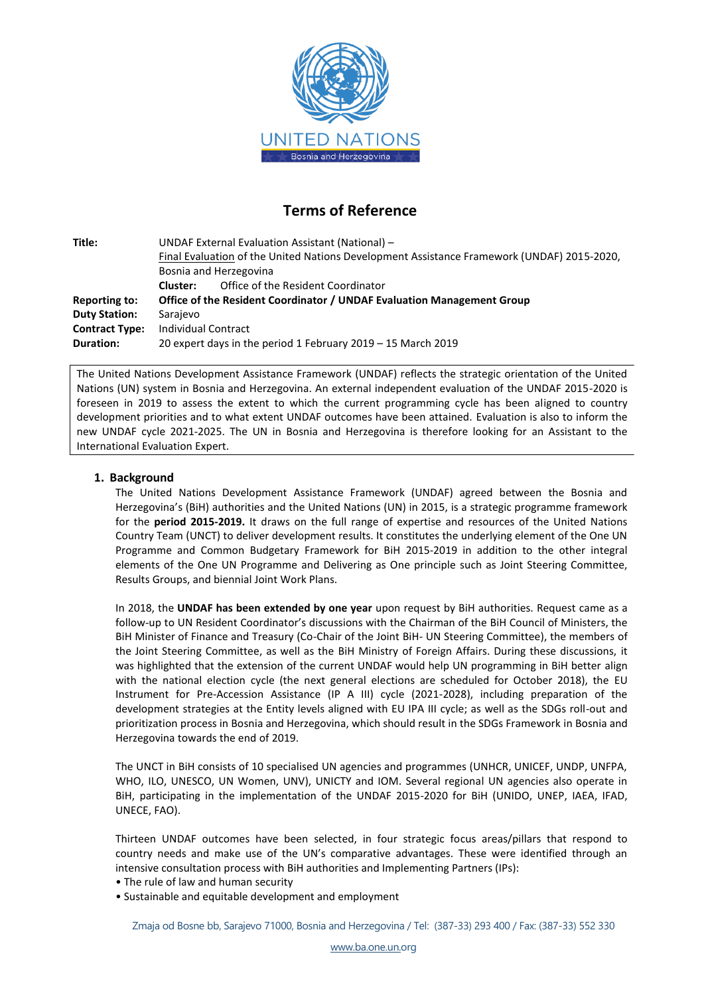

# **Terms of Reference**

| Title:                | UNDAF External Evaluation Assistant (National) -                                           |  |  |  |
|-----------------------|--------------------------------------------------------------------------------------------|--|--|--|
|                       | Final Evaluation of the United Nations Development Assistance Framework (UNDAF) 2015-2020, |  |  |  |
|                       | Bosnia and Herzegovina                                                                     |  |  |  |
|                       | Office of the Resident Coordinator<br>Cluster:                                             |  |  |  |
| Reporting to:         | Office of the Resident Coordinator / UNDAF Evaluation Management Group                     |  |  |  |
| <b>Duty Station:</b>  | Sarajevo                                                                                   |  |  |  |
| <b>Contract Type:</b> | Individual Contract                                                                        |  |  |  |
| <b>Duration:</b>      | 20 expert days in the period 1 February 2019 - 15 March 2019                               |  |  |  |

The United Nations Development Assistance Framework (UNDAF) reflects the strategic orientation of the United Nations (UN) system in Bosnia and Herzegovina. An external independent evaluation of the UNDAF 2015-2020 is foreseen in 2019 to assess the extent to which the current programming cycle has been aligned to country development priorities and to what extent UNDAF outcomes have been attained. Evaluation is also to inform the new UNDAF cycle 2021-2025. The UN in Bosnia and Herzegovina is therefore looking for an Assistant to the International Evaluation Expert.

## **1. Background**

The United Nations Development Assistance Framework (UNDAF) agreed between the Bosnia and Herzegovina's (BiH) authorities and the United Nations (UN) in 2015, is a strategic programme framework for the **period 2015-2019.** It draws on the full range of expertise and resources of the United Nations Country Team (UNCT) to deliver development results. It constitutes the underlying element of the One UN Programme and Common Budgetary Framework for BiH 2015-2019 in addition to the other integral elements of the One UN Programme and Delivering as One principle such as Joint Steering Committee, Results Groups, and biennial Joint Work Plans.

In 2018, the **UNDAF has been extended by one year** upon request by BiH authorities. Request came as a follow-up to UN Resident Coordinator's discussions with the Chairman of the BiH Council of Ministers, the BiH Minister of Finance and Treasury (Co-Chair of the Joint BiH- UN Steering Committee), the members of the Joint Steering Committee, as well as the BiH Ministry of Foreign Affairs. During these discussions, it was highlighted that the extension of the current UNDAF would help UN programming in BiH better align with the national election cycle (the next general elections are scheduled for October 2018), the EU Instrument for Pre-Accession Assistance (IP A III) cycle (2021-2028), including preparation of the development strategies at the Entity levels aligned with EU IPA III cycle; as well as the SDGs roll-out and prioritization process in Bosnia and Herzegovina, which should result in the SDGs Framework in Bosnia and Herzegovina towards the end of 2019.

The UNCT in BiH consists of 10 specialised UN agencies and programmes (UNHCR, UNICEF, UNDP, UNFPA, WHO, ILO, UNESCO, UN Women, UNV), UNICTY and IOM. Several regional UN agencies also operate in BiH, participating in the implementation of the UNDAF 2015-2020 for BiH (UNIDO, UNEP, IAEA, IFAD, UNECE, FAO).

Thirteen UNDAF outcomes have been selected, in four strategic focus areas/pillars that respond to country needs and make use of the UN's comparative advantages. These were identified through an intensive consultation process with BiH authorities and Implementing Partners (IPs):

- The rule of law and human security
- Sustainable and equitable development and employment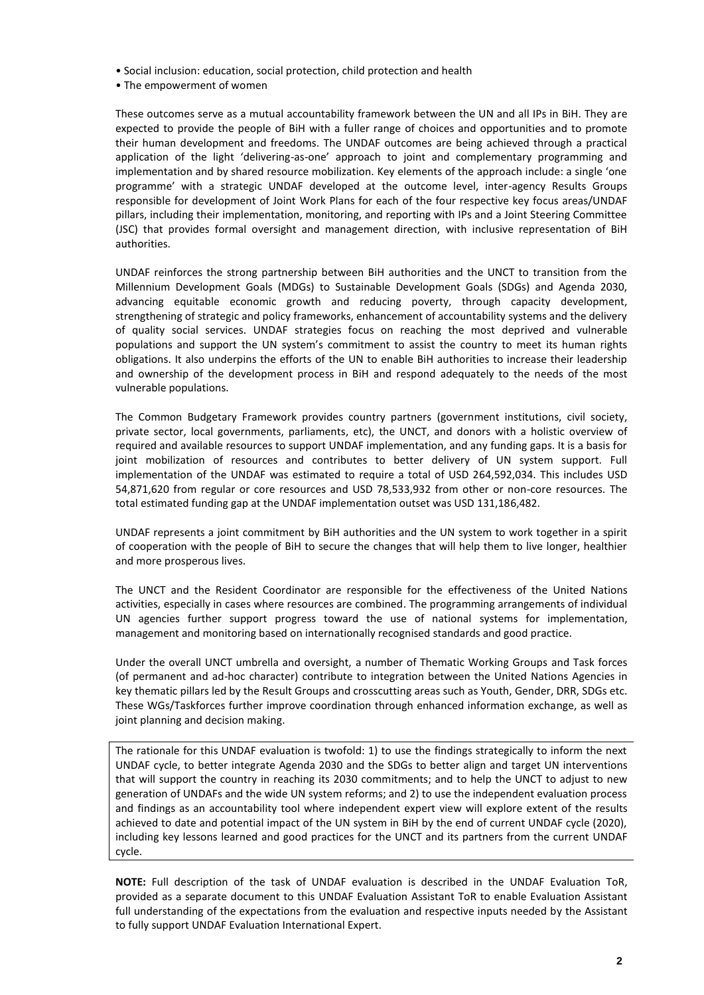- Social inclusion: education, social protection, child protection and health
- The empowerment of women

These outcomes serve as a mutual accountability framework between the UN and all IPs in BiH. They are expected to provide the people of BiH with a fuller range of choices and opportunities and to promote their human development and freedoms. The UNDAF outcomes are being achieved through a practical application of the light 'delivering-as-one' approach to joint and complementary programming and implementation and by shared resource mobilization. Key elements of the approach include: a single 'one programme' with a strategic UNDAF developed at the outcome level, inter-agency Results Groups responsible for development of Joint Work Plans for each of the four respective key focus areas/UNDAF pillars, including their implementation, monitoring, and reporting with IPs and a Joint Steering Committee (JSC) that provides formal oversight and management direction, with inclusive representation of BiH authorities.

UNDAF reinforces the strong partnership between BiH authorities and the UNCT to transition from the Millennium Development Goals (MDGs) to Sustainable Development Goals (SDGs) and Agenda 2030, advancing equitable economic growth and reducing poverty, through capacity development, strengthening of strategic and policy frameworks, enhancement of accountability systems and the delivery of quality social services. UNDAF strategies focus on reaching the most deprived and vulnerable populations and support the UN system's commitment to assist the country to meet its human rights obligations. It also underpins the efforts of the UN to enable BiH authorities to increase their leadership and ownership of the development process in BiH and respond adequately to the needs of the most vulnerable populations.

The Common Budgetary Framework provides country partners (government institutions, civil society, private sector, local governments, parliaments, etc), the UNCT, and donors with a holistic overview of required and available resources to support UNDAF implementation, and any funding gaps. It is a basis for joint mobilization of resources and contributes to better delivery of UN system support. Full implementation of the UNDAF was estimated to require a total of USD 264,592,034. This includes USD 54,871,620 from regular or core resources and USD 78,533,932 from other or non-core resources. The total estimated funding gap at the UNDAF implementation outset was USD 131,186,482.

UNDAF represents a joint commitment by BiH authorities and the UN system to work together in a spirit of cooperation with the people of BiH to secure the changes that will help them to live longer, healthier and more prosperous lives.

The UNCT and the Resident Coordinator are responsible for the effectiveness of the United Nations activities, especially in cases where resources are combined. The programming arrangements of individual UN agencies further support progress toward the use of national systems for implementation, management and monitoring based on internationally recognised standards and good practice.

Under the overall UNCT umbrella and oversight, a number of Thematic Working Groups and Task forces (of permanent and ad-hoc character) contribute to integration between the United Nations Agencies in key thematic pillars led by the Result Groups and crosscutting areas such as Youth, Gender, DRR, SDGs etc. These WGs/Taskforces further improve coordination through enhanced information exchange, as well as joint planning and decision making.

The rationale for this UNDAF evaluation is twofold: 1) to use the findings strategically to inform the next UNDAF cycle, to better integrate Agenda 2030 and the SDGs to better align and target UN interventions that will support the country in reaching its 2030 commitments; and to help the UNCT to adjust to new generation of UNDAFs and the wide UN system reforms; and 2) to use the independent evaluation process and findings as an accountability tool where independent expert view will explore extent of the results achieved to date and potential impact of the UN system in BiH by the end of current UNDAF cycle (2020), including key lessons learned and good practices for the UNCT and its partners from the current UNDAF cycle.

**NOTE:** Full description of the task of UNDAF evaluation is described in the UNDAF Evaluation ToR, provided as a separate document to this UNDAF Evaluation Assistant ToR to enable Evaluation Assistant full understanding of the expectations from the evaluation and respective inputs needed by the Assistant to fully support UNDAF Evaluation International Expert.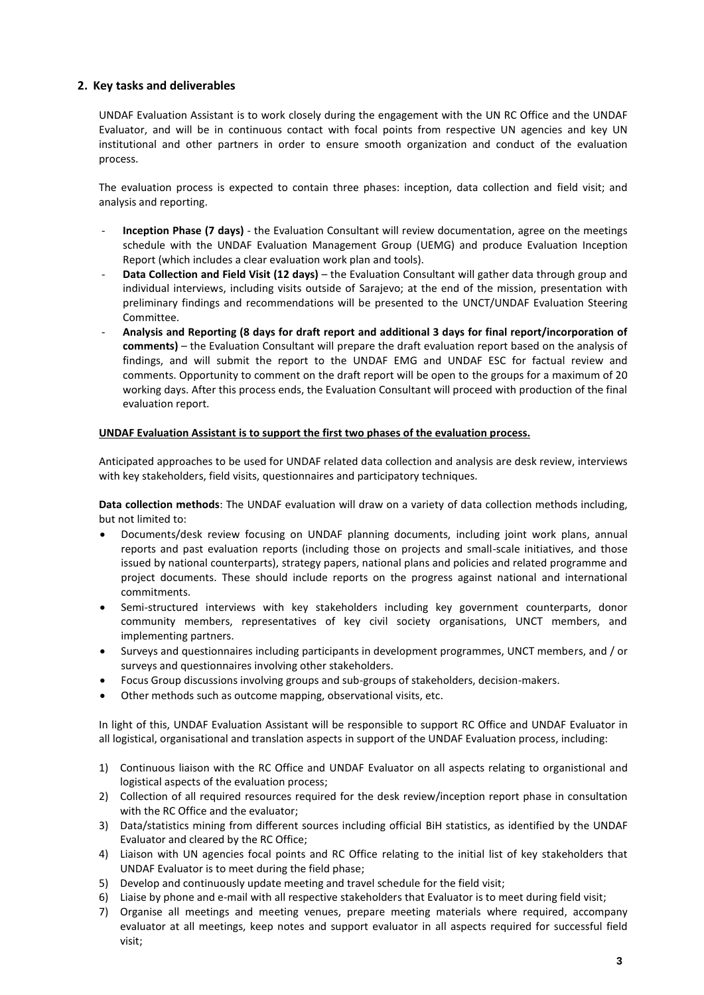# **2. Key tasks and deliverables**

UNDAF Evaluation Assistant is to work closely during the engagement with the UN RC Office and the UNDAF Evaluator, and will be in continuous contact with focal points from respective UN agencies and key UN institutional and other partners in order to ensure smooth organization and conduct of the evaluation process.

The evaluation process is expected to contain three phases: inception, data collection and field visit; and analysis and reporting.

- **Inception Phase (7 days)** the Evaluation Consultant will review documentation, agree on the meetings schedule with the UNDAF Evaluation Management Group (UEMG) and produce Evaluation Inception Report (which includes a clear evaluation work plan and tools).
- **Data Collection and Field Visit (12 days)** the Evaluation Consultant will gather data through group and individual interviews, including visits outside of Sarajevo; at the end of the mission, presentation with preliminary findings and recommendations will be presented to the UNCT/UNDAF Evaluation Steering Committee.
- **Analysis and Reporting (8 days for draft report and additional 3 days for final report/incorporation of comments)** – the Evaluation Consultant will prepare the draft evaluation report based on the analysis of findings, and will submit the report to the UNDAF EMG and UNDAF ESC for factual review and comments. Opportunity to comment on the draft report will be open to the groups for a maximum of 20 working days. After this process ends, the Evaluation Consultant will proceed with production of the final evaluation report.

## **UNDAF Evaluation Assistant is to support the first two phases of the evaluation process.**

Anticipated approaches to be used for UNDAF related data collection and analysis are desk review, interviews with key stakeholders, field visits, questionnaires and participatory techniques.

**Data collection methods**: The UNDAF evaluation will draw on a variety of data collection methods including, but not limited to:

- Documents/desk review focusing on UNDAF planning documents, including joint work plans, annual reports and past evaluation reports (including those on projects and small-scale initiatives, and those issued by national counterparts), strategy papers, national plans and policies and related programme and project documents. These should include reports on the progress against national and international commitments.
- Semi-structured interviews with key stakeholders including key government counterparts, donor community members, representatives of key civil society organisations, UNCT members, and implementing partners.
- Surveys and questionnaires including participants in development programmes, UNCT members, and / or surveys and questionnaires involving other stakeholders.
- Focus Group discussions involving groups and sub-groups of stakeholders, decision-makers.
- Other methods such as outcome mapping, observational visits, etc.

In light of this, UNDAF Evaluation Assistant will be responsible to support RC Office and UNDAF Evaluator in all logistical, organisational and translation aspects in support of the UNDAF Evaluation process, including:

- 1) Continuous liaison with the RC Office and UNDAF Evaluator on all aspects relating to organistional and logistical aspects of the evaluation process;
- 2) Collection of all required resources required for the desk review/inception report phase in consultation with the RC Office and the evaluator;
- 3) Data/statistics mining from different sources including official BiH statistics, as identified by the UNDAF Evaluator and cleared by the RC Office;
- 4) Liaison with UN agencies focal points and RC Office relating to the initial list of key stakeholders that UNDAF Evaluator is to meet during the field phase;
- 5) Develop and continuously update meeting and travel schedule for the field visit;
- 6) Liaise by phone and e-mail with all respective stakeholders that Evaluator is to meet during field visit;
- 7) Organise all meetings and meeting venues, prepare meeting materials where required, accompany evaluator at all meetings, keep notes and support evaluator in all aspects required for successful field visit;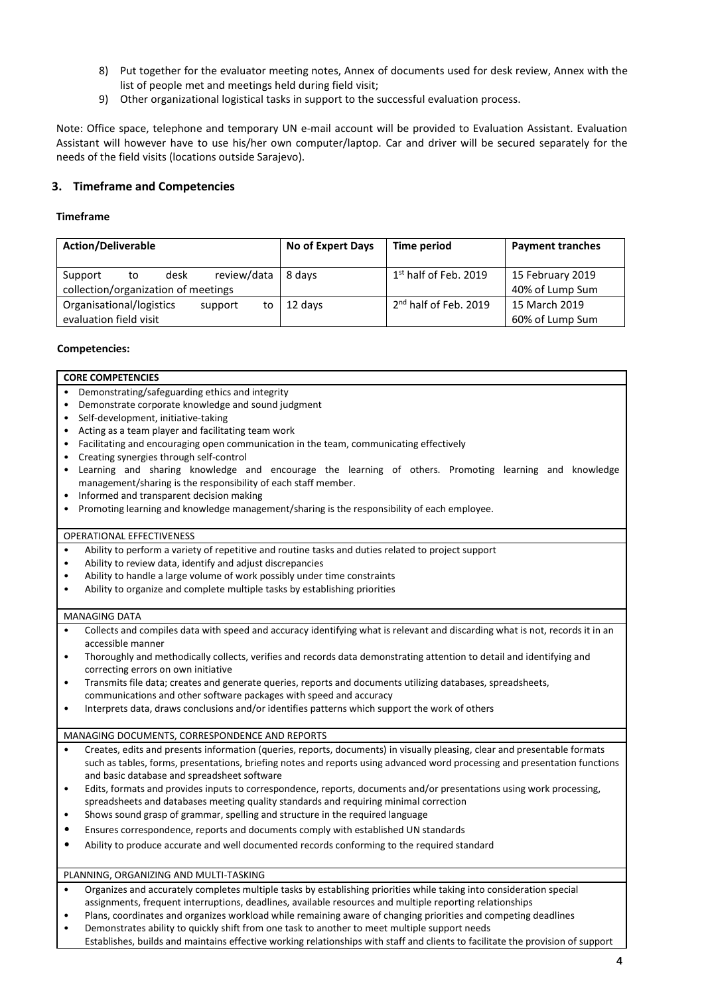- 8) Put together for the evaluator meeting notes, Annex of documents used for desk review, Annex with the list of people met and meetings held during field visit;
- 9) Other organizational logistical tasks in support to the successful evaluation process.

Note: Office space, telephone and temporary UN e-mail account will be provided to Evaluation Assistant. Evaluation Assistant will however have to use his/her own computer/laptop. Car and driver will be secured separately for the needs of the field visits (locations outside Sarajevo).

# **3. Timeframe and Competencies**

## **Timeframe**

| <b>Action/Deliverable</b>                                                   | No of Expert Days | Time period                       | <b>Payment tranches</b>             |
|-----------------------------------------------------------------------------|-------------------|-----------------------------------|-------------------------------------|
| review/data<br>desk<br>Support<br>to<br>collection/organization of meetings | 8 davs            | $1st$ half of Feb. 2019           | 15 February 2019<br>40% of Lump Sum |
| Organisational/logistics<br>support<br>to<br>evaluation field visit         | 12 days           | 2 <sup>nd</sup> half of Feb. 2019 | 15 March 2019<br>60% of Lump Sum    |

## **Competencies:**

#### **CORE COMPETENCIES**

- Demonstrating/safeguarding ethics and integrity
- Demonstrate corporate knowledge and sound judgment
- Self-development, initiative-taking
- Acting as a team player and facilitating team work
- Facilitating and encouraging open communication in the team, communicating effectively
- Creating synergies through self-control
- Learning and sharing knowledge and encourage the learning of others. Promoting learning and knowledge management/sharing is the responsibility of each staff member.
- Informed and transparent decision making
- Promoting learning and knowledge management/sharing is the responsibility of each employee.

#### OPERATIONAL EFFECTIVENESS

- Ability to perform a variety of repetitive and routine tasks and duties related to project support
- Ability to review data, identify and adjust discrepancies
- Ability to handle a large volume of work possibly under time constraints
- Ability to organize and complete multiple tasks by establishing priorities

#### MANAGING DATA

- Collects and compiles data with speed and accuracy identifying what is relevant and discarding what is not, records it in an accessible manner
- Thoroughly and methodically collects, verifies and records data demonstrating attention to detail and identifying and correcting errors on own initiative
- Transmits file data; creates and generate queries, reports and documents utilizing databases, spreadsheets, communications and other software packages with speed and accuracy
- Interprets data, draws conclusions and/or identifies patterns which support the work of others

#### MANAGING DOCUMENTS, CORRESPONDENCE AND REPORTS

- Creates, edits and presents information (queries, reports, documents) in visually pleasing, clear and presentable formats such as tables, forms, presentations, briefing notes and reports using advanced word processing and presentation functions and basic database and spreadsheet software
- Edits, formats and provides inputs to correspondence, reports, documents and/or presentations using work processing, spreadsheets and databases meeting quality standards and requiring minimal correction
- Shows sound grasp of grammar, spelling and structure in the required language
- Ensures correspondence, reports and documents comply with established UN standards
- Ability to produce accurate and well documented records conforming to the required standard

#### PLANNING, ORGANIZING AND MULTI-TASKING

- Organizes and accurately completes multiple tasks by establishing priorities while taking into consideration special assignments, frequent interruptions, deadlines, available resources and multiple reporting relationships
- Plans, coordinates and organizes workload while remaining aware of changing priorities and competing deadlines
- Demonstrates ability to quickly shift from one task to another to meet multiple support needs
- Establishes, builds and maintains effective working relationships with staff and clients to facilitate the provision of support